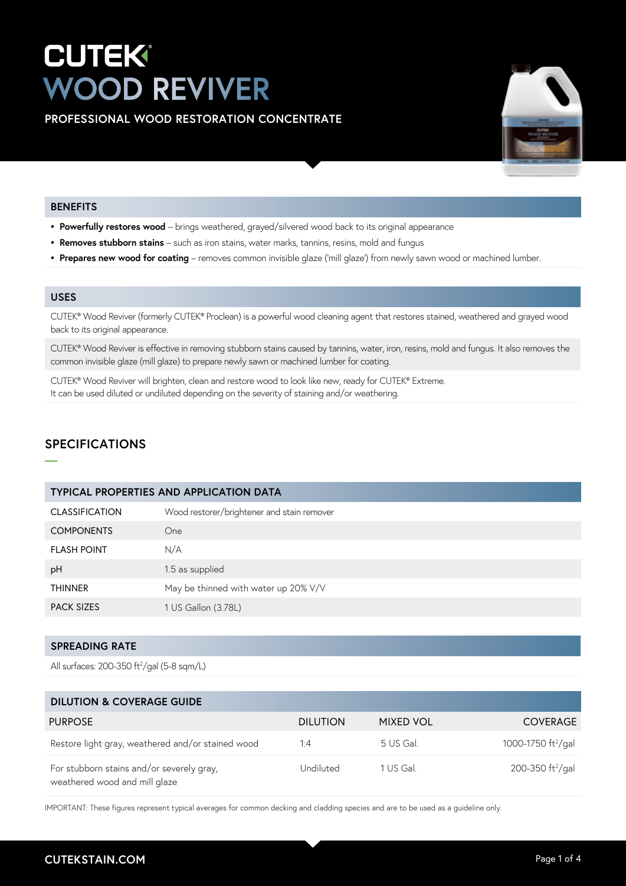# **CUTEK® WOOD REVIVER**

**PROFESSIONAL WOOD RESTORATION CONCENTRATE** 



### **BENEFITS**

- **• Powerfully restores wood**  brings weathered, grayed/silvered wood back to its original appearance
- **• Removes stubborn stains**  such as iron stains, water marks, tannins, resins, mold and fungus
- Prepares new wood for coating removes common invisible glaze ('mill glaze') from newly sawn wood or machined lumber.

## **USES**

**—**

CUTEK® Wood Reviver (formerly CUTEK® Proclean) is a powerful wood cleaning agent that restores stained, weathered and grayed wood back to its original appearance.

CUTEK® Wood Reviver is effective in removing stubborn stains caused by tannins, water, iron, resins, mold and fungus. It also removes the common invisible glaze (mill glaze) to prepare newly sawn or machined lumber for coating.

CUTEK® Wood Reviver will brighten, clean and restore wood to look like new, ready for CUTEK® Extreme. It can be used diluted or undiluted depending on the severity of staining and/or weathering.

# **SPECIFICATIONS**

| <b>TYPICAL PROPERTIES AND APPLICATION DATA</b> |                                            |  |
|------------------------------------------------|--------------------------------------------|--|
| <b>CLASSIFICATION</b>                          | Wood restorer/brightener and stain remover |  |
| <b>COMPONENTS</b>                              | One                                        |  |
| <b>FLASH POINT</b>                             | N/A                                        |  |
| pH                                             | 1.5 as supplied                            |  |
| <b>THINNER</b>                                 | May be thinned with water up 20% V/V       |  |
| <b>PACK SIZES</b>                              | 1 US Gallon (3.78L)                        |  |

# **SPREADING RATE**

All surfaces: 200-350 ft2 /gal (5-8 sqm/L)

| <b>DILUTION &amp; COVERAGE GUIDE</b>                                       |                 |                  |                                |
|----------------------------------------------------------------------------|-----------------|------------------|--------------------------------|
| <b>PURPOSE</b>                                                             | <b>DILUTION</b> | <b>MIXED VOL</b> | <b>COVERAGE</b>                |
| Restore light gray, weathered and/or stained wood                          | 1:4             | 5 US Gal.        | 1000-1750 ft <sup>2</sup> /gal |
| For stubborn stains and/or severely gray,<br>weathered wood and mill glaze | Undiluted       | 1 US Gal.        | 200-350 ft <sup>2</sup> /gal   |

IMPORTANT: These figures represent typical averages for common decking and cladding species and are to be used as a guideline only.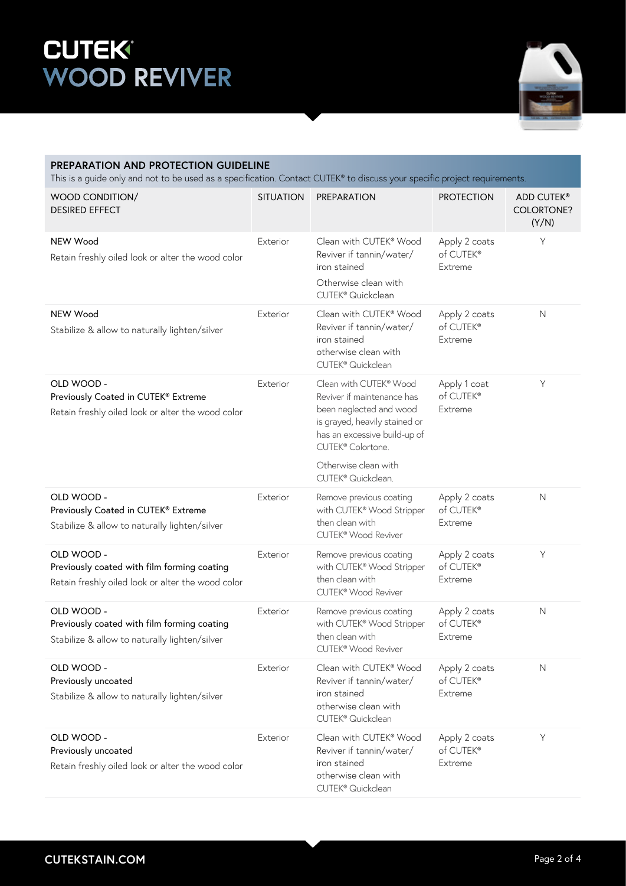# **WOOD REVIVER**



| PREPARATION AND PROTECTION GUIDELINE<br>This is a guide only and not to be used as a specification. Contact CUTEK® to discuss your specific project requirements. |                  |                                                                                                                                                                                                                                 |                                       |                                   |  |  |
|-------------------------------------------------------------------------------------------------------------------------------------------------------------------|------------------|---------------------------------------------------------------------------------------------------------------------------------------------------------------------------------------------------------------------------------|---------------------------------------|-----------------------------------|--|--|
| WOOD CONDITION/<br><b>DESIRED EFFECT</b>                                                                                                                          | <b>SITUATION</b> | PREPARATION                                                                                                                                                                                                                     | <b>PROTECTION</b>                     | ADD CUTEK®<br>COLORTONE?<br>(Y/N) |  |  |
| NEW Wood<br>Retain freshly oiled look or alter the wood color                                                                                                     | Exterior         | Clean with CUTEK® Wood<br>Reviver if tannin/water/<br>iron stained<br>Otherwise clean with<br>CUTEK <sup>®</sup> Quickclean                                                                                                     | Apply 2 coats<br>of CUTEK®<br>Extreme | Υ                                 |  |  |
| NEW Wood<br>Stabilize & allow to naturally lighten/silver                                                                                                         | Exterior         | Clean with CUTEK® Wood<br>Reviver if tannin/water/<br>iron stained<br>otherwise clean with<br>CUTEK <sup>®</sup> Quickclean                                                                                                     | Apply 2 coats<br>of CUTEK®<br>Extreme | $\mathsf{N}$                      |  |  |
| OLD WOOD -<br>Previously Coated in CUTEK® Extreme<br>Retain freshly oiled look or alter the wood color                                                            | Exterior         | Clean with CUTEK® Wood<br>Reviver if maintenance has<br>been neglected and wood<br>is grayed, heavily stained or<br>has an excessive build-up of<br>CUTEK® Colortone.<br>Otherwise clean with<br>CUTEK <sup>®</sup> Quickclean. | Apply 1 coat<br>of CUTEK®<br>Extreme  | Y                                 |  |  |
| OLD WOOD -<br>Previously Coated in CUTEK® Extreme<br>Stabilize & allow to naturally lighten/silver                                                                | Exterior         | Remove previous coating<br>with CUTEK® Wood Stripper<br>then clean with<br>CUTEK <sup>®</sup> Wood Reviver                                                                                                                      | Apply 2 coats<br>of CUTEK®<br>Extreme | $\mathsf{N}$                      |  |  |
| OLD WOOD -<br>Previously coated with film forming coating<br>Retain freshly oiled look or alter the wood color                                                    | Exterior         | Remove previous coating<br>with CUTEK® Wood Stripper<br>then clean with<br>CUTEK <sup>®</sup> Wood Reviver                                                                                                                      | Apply 2 coats<br>of CUTEK®<br>Extreme | $\mathsf Y$                       |  |  |
| OLD WOOD -<br>Previously coated with film forming coating<br>Stabilize & allow to naturally lighten/silver                                                        | Exterior         | Remove previous coating<br>with CUTEK® Wood Stripper<br>then clean with<br>CUTEK® Wood Reviver                                                                                                                                  | Apply 2 coats<br>of CUTEK®<br>Extreme | $\mathsf{N}$                      |  |  |
| OLD WOOD -<br>Previously uncoated<br>Stabilize & allow to naturally lighten/silver                                                                                | Exterior         | Clean with CUTEK® Wood<br>Reviver if tannin/water/<br>iron stained<br>otherwise clean with<br>CUTEK <sup>®</sup> Quickclean                                                                                                     | Apply 2 coats<br>of CUTEK®<br>Extreme | $\mathsf{N}$                      |  |  |
| OLD WOOD -<br>Previously uncoated<br>Retain freshly oiled look or alter the wood color                                                                            | Exterior         | Clean with CUTEK® Wood<br>Reviver if tannin/water/<br>iron stained<br>otherwise clean with<br>CUTEK® Quickclean                                                                                                                 | Apply 2 coats<br>of CUTEK®<br>Extreme | Y                                 |  |  |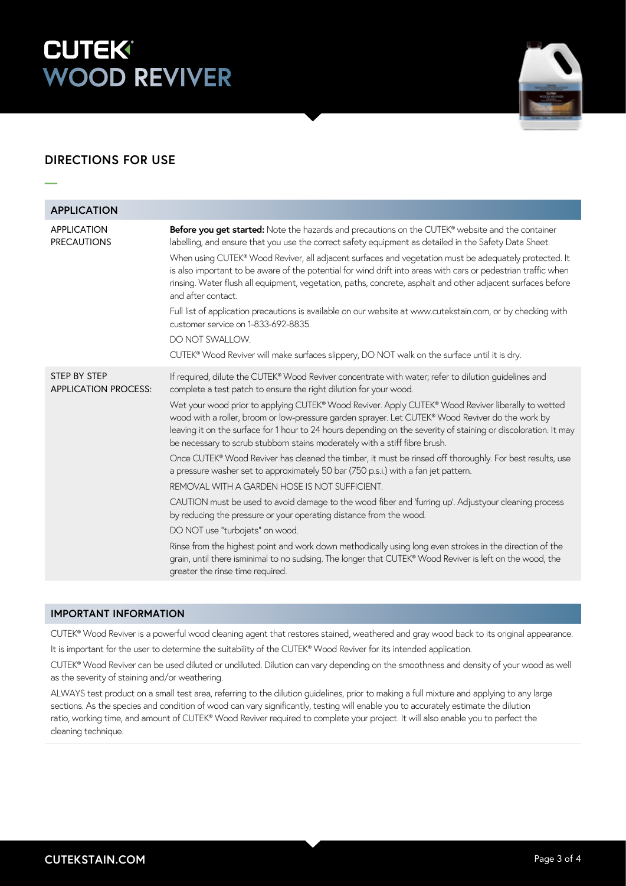# **CUTEK® WOOD REVIVER**



# **DIRECTIONS FOR USE**

**—**

| <b>APPLICATION</b>                                 |                                                                                                                                                                                                                                                                                                                                                                                                                                                                                                                                                                                                                                                                                                                                                                                                                                                   |
|----------------------------------------------------|---------------------------------------------------------------------------------------------------------------------------------------------------------------------------------------------------------------------------------------------------------------------------------------------------------------------------------------------------------------------------------------------------------------------------------------------------------------------------------------------------------------------------------------------------------------------------------------------------------------------------------------------------------------------------------------------------------------------------------------------------------------------------------------------------------------------------------------------------|
| <b>APPLICATION</b><br><b>PRECAUTIONS</b>           | Before you get started: Note the hazards and precautions on the CUTEK® website and the container<br>labelling, and ensure that you use the correct safety equipment as detailed in the Safety Data Sheet.<br>When using CUTEK® Wood Reviver, all adjacent surfaces and vegetation must be adequately protected. It<br>is also important to be aware of the potential for wind drift into areas with cars or pedestrian traffic when<br>rinsing. Water flush all equipment, vegetation, paths, concrete, asphalt and other adjacent surfaces before<br>and after contact.<br>Full list of application precautions is available on our website at www.cutekstain.com, or by checking with<br>customer service on 1-833-692-8835.<br>DO NOT SWALLOW.<br>CUTEK® Wood Reviver will make surfaces slippery, DO NOT walk on the surface until it is dry. |
|                                                    |                                                                                                                                                                                                                                                                                                                                                                                                                                                                                                                                                                                                                                                                                                                                                                                                                                                   |
| <b>STEP BY STEP</b><br><b>APPLICATION PROCESS:</b> | If required, dilute the CUTEK® Wood Reviver concentrate with water; refer to dilution guidelines and<br>complete a test patch to ensure the right dilution for your wood.<br>Wet your wood prior to applying CUTEK® Wood Reviver. Apply CUTEK® Wood Reviver liberally to wetted<br>wood with a roller, broom or low-pressure garden sprayer. Let CUTEK® Wood Reviver do the work by<br>leaving it on the surface for 1 hour to 24 hours depending on the severity of staining or discoloration. It may<br>be necessary to scrub stubborn stains moderately with a stiff fibre brush.                                                                                                                                                                                                                                                              |
|                                                    | Once CUTEK® Wood Reviver has cleaned the timber, it must be rinsed off thoroughly. For best results, use<br>a pressure washer set to approximately 50 bar (750 p.s.i.) with a fan jet pattern.                                                                                                                                                                                                                                                                                                                                                                                                                                                                                                                                                                                                                                                    |
|                                                    | REMOVAL WITH A GARDEN HOSE IS NOT SUFFICIENT.                                                                                                                                                                                                                                                                                                                                                                                                                                                                                                                                                                                                                                                                                                                                                                                                     |
|                                                    | CAUTION must be used to avoid damage to the wood fiber and 'furring up'. Adjustyour cleaning process<br>by reducing the pressure or your operating distance from the wood.                                                                                                                                                                                                                                                                                                                                                                                                                                                                                                                                                                                                                                                                        |
|                                                    | DO NOT use "turbojets" on wood.                                                                                                                                                                                                                                                                                                                                                                                                                                                                                                                                                                                                                                                                                                                                                                                                                   |
|                                                    | Rinse from the highest point and work down methodically using long even strokes in the direction of the<br>grain, until there isminimal to no sudsing. The longer that CUTEK® Wood Reviver is left on the wood, the<br>greater the rinse time required.                                                                                                                                                                                                                                                                                                                                                                                                                                                                                                                                                                                           |

## **IMPORTANT INFORMATION**

CUTEK® Wood Reviver is a powerful wood cleaning agent that restores stained, weathered and gray wood back to its original appearance.

It is important for the user to determine the suitability of the CUTEK® Wood Reviver for its intended application.

CUTEK® Wood Reviver can be used diluted or undiluted. Dilution can vary depending on the smoothness and density of your wood as well as the severity of staining and/or weathering.

ALWAYS test product on a small test area, referring to the dilution guidelines, prior to making a full mixture and applying to any large sections. As the species and condition of wood can vary significantly, testing will enable you to accurately estimate the dilution ratio, working time, and amount of CUTEK® Wood Reviver required to complete your project. It will also enable you to perfect the cleaning technique.